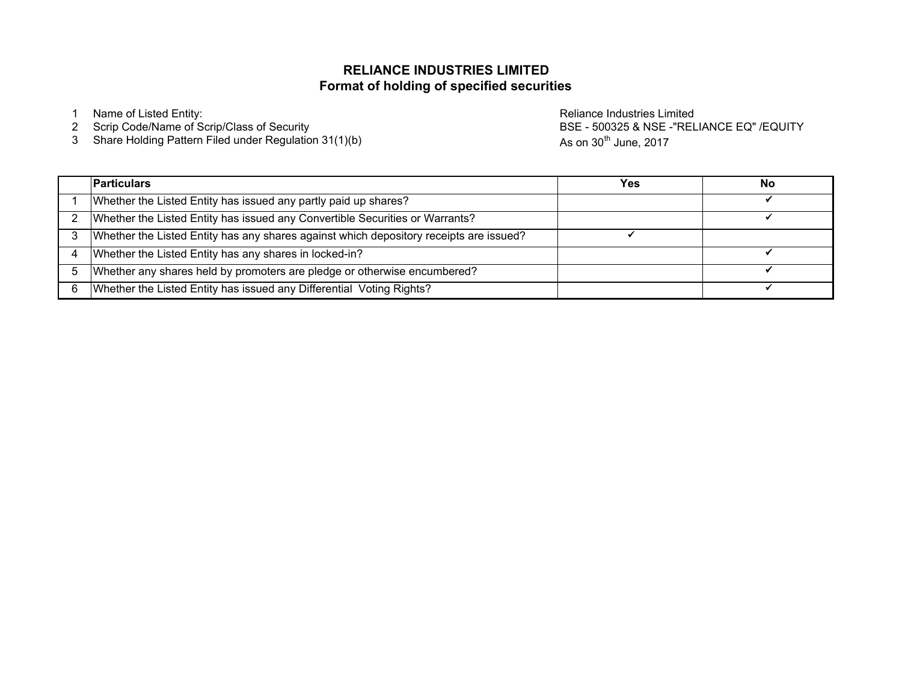## **Format of holding of specified securitiesRELIANCE INDUSTRIES LIMITED**

<sup>3</sup> Share Holding Pattern Filed under Regulation 31(1)(b)

1 Name of Listed Entity:<br>2 Scrip Code/Name of Scrip/Class of Security and the control of the Reliance Industries Limited Scrip Code/Name<br>2 Scrip Code/Name of Scrip/Class of Security and the control of the control of the BS BSE - 500325 & NSE -"RELIANCE EQ" /EQUITYAs on  $30<sup>th</sup>$  June, 2017

| <b>Particulars</b>                                                                     | Yes | No |
|----------------------------------------------------------------------------------------|-----|----|
| Whether the Listed Entity has issued any partly paid up shares?                        |     |    |
| Whether the Listed Entity has issued any Convertible Securities or Warrants?           |     |    |
| Whether the Listed Entity has any shares against which depository receipts are issued? |     |    |
| Whether the Listed Entity has any shares in locked-in?                                 |     |    |
| Whether any shares held by promoters are pledge or otherwise encumbered?               |     |    |
| Whether the Listed Entity has issued any Differential Voting Rights?                   |     |    |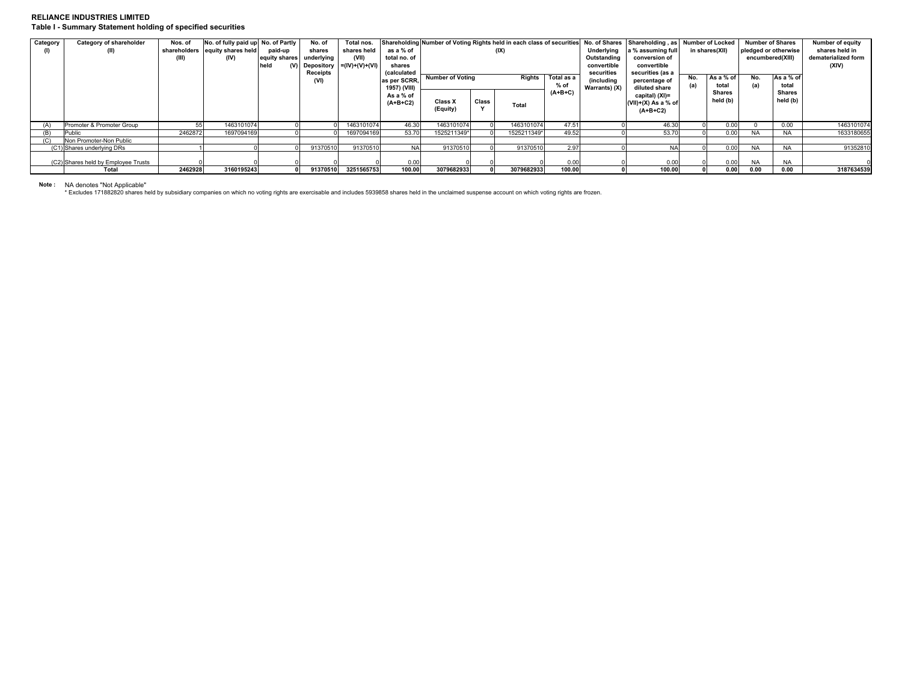## **RELIANCE INDUSTRIES LIMITEDTable I - Summary Statement holding of specified securities**

| Category | Category of shareholder<br>(II)     | Nos. of<br>(III) | No. of fully paid up No. of Partly<br>shareholders equity shares held<br>(IV) | paid-up<br>equity shares<br>held<br>(V) | No. of<br>shares<br>underlying<br><b>Receipts</b> | Total nos.<br>shares held<br>(VII)<br>Depository $= (IV)+(V)+(VI)$ | as a % of<br>total no. of<br>shares<br>(calculated |                     | (IX)                              |              | Underlying<br>Outstanding<br>convertible<br>securities | a % assuming full<br>conversion of<br>convertible<br>securities (as a | Shareholding Number of Voting Rights held in each class of securities No. of Shares Shareholding, as Number of Locked<br>in shares(XII) |     | <b>Number of Shares</b><br>pledged or otherwise<br>encumbered(XIII) |            | <b>Number of equity</b><br>shares held in<br>dematerialized form<br>(XIV) |            |
|----------|-------------------------------------|------------------|-------------------------------------------------------------------------------|-----------------------------------------|---------------------------------------------------|--------------------------------------------------------------------|----------------------------------------------------|---------------------|-----------------------------------|--------------|--------------------------------------------------------|-----------------------------------------------------------------------|-----------------------------------------------------------------------------------------------------------------------------------------|-----|---------------------------------------------------------------------|------------|---------------------------------------------------------------------------|------------|
|          |                                     |                  |                                                                               |                                         | (VI)                                              |                                                                    | as per SCRR.<br>1957) (VIII)                       |                     | <b>Number of Voting</b><br>Rights |              | Total as a<br>$%$ of                                   | (including<br>Warrants) (X)                                           | percentage of<br>diluted share                                                                                                          | No. | As a % of<br>total                                                  | No.<br>(a) | As a % of<br>total                                                        |            |
|          |                                     |                  |                                                                               |                                         |                                                   |                                                                    | As a % of<br>$(A+B+C2)$                            | Class X<br>(Equity) | Class<br>$\lambda$                | <b>Total</b> | $(A+B+C)$                                              |                                                                       | capital) (XI)=<br>$(VII)+(X)$ As a % of<br>$(A+B+C2)$                                                                                   |     | Shares<br>held (b)                                                  |            | <b>Shares</b><br>held (b)                                                 |            |
| (A)      | Promoter & Promoter Group           |                  | 1463101074                                                                    |                                         |                                                   | 1463101074                                                         | 46.30                                              | 1463101074          |                                   | 1463101074   | 47.51                                                  |                                                                       | 46.30                                                                                                                                   |     | 0.00                                                                |            | 0.00                                                                      | 1463101074 |
| (B)      | Public                              | 2462872          | 1697094169                                                                    |                                         |                                                   | 1697094169                                                         | 53.70                                              | 1525211349*         |                                   | 1525211349*  | 49.52                                                  |                                                                       | 53.70                                                                                                                                   |     | 0.00                                                                | <b>NA</b>  | <b>NA</b>                                                                 | 1633180655 |
| (C)      | Non Promoter-Non Public             |                  |                                                                               |                                         |                                                   |                                                                    |                                                    |                     |                                   |              |                                                        |                                                                       |                                                                                                                                         |     |                                                                     |            |                                                                           |            |
|          | (C1) Shares underlying DRs          |                  |                                                                               |                                         | 91370510                                          | 91370510                                                           | <b>NA</b>                                          | 91370510            |                                   | 91370510     | 2.97                                                   |                                                                       | <b>NA</b>                                                                                                                               |     | 0.00                                                                | <b>NA</b>  | <b>NA</b>                                                                 | 91352810   |
|          | (C2) Shares held by Employee Trusts |                  |                                                                               |                                         |                                                   |                                                                    | 0.00                                               |                     |                                   |              | 0.00                                                   |                                                                       | 0.00                                                                                                                                    |     | 0.00                                                                | <b>NA</b>  | <b>NA</b>                                                                 |            |
|          | Total                               | 2462928          | 3160195243                                                                    |                                         | 91370510                                          | 3251565753                                                         | 100.00                                             | 3079682933          |                                   | 3079682933   | 100.00                                                 |                                                                       | 100.00                                                                                                                                  |     | 0.00                                                                | 0.00       | 0.00                                                                      | 3187634539 |

Note : NA denotes "Not Applicable"<br>\* Excludes 171882820 shares held by subsidiary companies on which no voting rights are exercisable and includes 5939858 shares held in the unclaimed suspense account on which voting r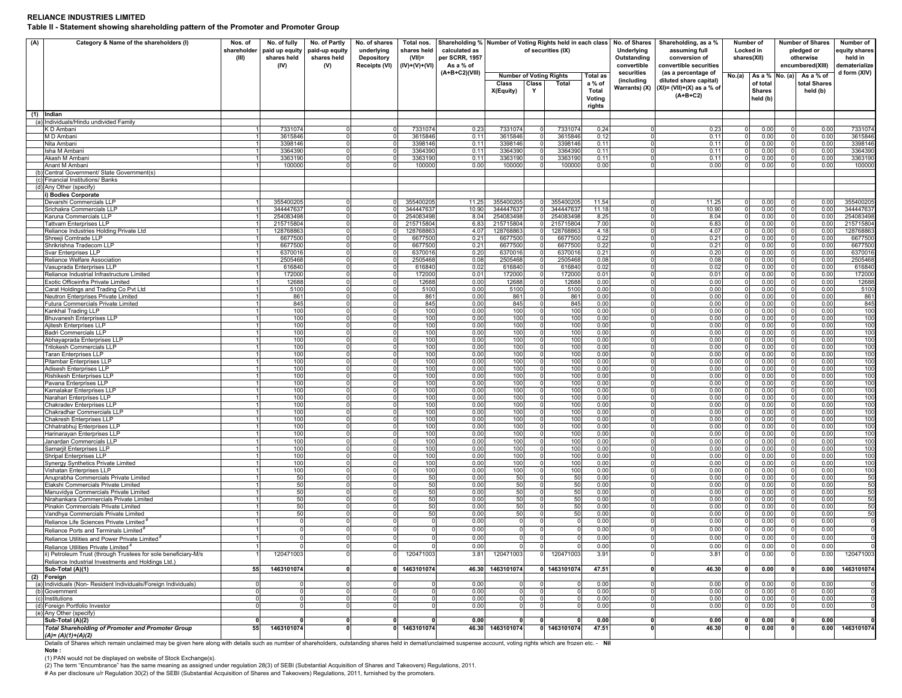## **RELIANCE INDUSTRIES LIMITEDTable II - Statement showing shareholding pattern of the Promoter and Promoter Group**

| (A) | Category & Name of the shareholders (I)                                                                           | Nos. of<br>shareholder<br>(III) | No. of fully<br>paid up equity<br>shares held<br>(IV) | No. of Partly<br>paid-up equity<br>shares held<br>(V) | No. of shares<br>underlying<br><b>Depository</b><br><b>Receipts (VI)</b> | Total nos.<br>shares held<br>$(VII)$ =<br>(IV)+(V)+(VI) | Shareholding % Number of Voting Rights held in each class<br>calculated as<br>per SCRR, 1957<br>As a % of |                                                                    | of securities (IX)                                      |                                                        | No. of Shares<br>Underlying<br>Outstanding<br>convertible | Shareholding, as a %<br>assuming full<br>conversion of<br>convertible securities            | Number of<br>Locked in<br>shares(XII)           | <b>Number of Shares</b><br>pledged or<br>otherwise<br>encumbered(XIII) |                                       | Number of<br>equity shares<br>held in<br>lematerialize |
|-----|-------------------------------------------------------------------------------------------------------------------|---------------------------------|-------------------------------------------------------|-------------------------------------------------------|--------------------------------------------------------------------------|---------------------------------------------------------|-----------------------------------------------------------------------------------------------------------|--------------------------------------------------------------------|---------------------------------------------------------|--------------------------------------------------------|-----------------------------------------------------------|---------------------------------------------------------------------------------------------|-------------------------------------------------|------------------------------------------------------------------------|---------------------------------------|--------------------------------------------------------|
|     |                                                                                                                   |                                 |                                                       |                                                       |                                                                          |                                                         | (A+B+C2)(VIII)                                                                                            | <b>Number of Voting Rights</b><br>Class<br>Class<br>X(Equity)<br>Y | Total                                                   | <b>Total as</b><br>a % of<br>Total<br>Voting<br>rights | securities<br>(including<br>Warrants) (X)                 | (as a percentage of<br>diluted share capital)<br>$(XI) = (VII)+(X)$ as a % of<br>$(A+B+C2)$ | No.(a)<br>of total<br><b>Shares</b><br>held (b) | As a % No. (a)                                                         | As a % of<br>total Shares<br>held (b) | d form (XIV)                                           |
|     | (1) Indian<br>(a) Individuals/Hindu undivided Family                                                              |                                 |                                                       |                                                       |                                                                          |                                                         |                                                                                                           |                                                                    |                                                         |                                                        |                                                           |                                                                                             |                                                 |                                                                        |                                       |                                                        |
|     | K D Ambani                                                                                                        |                                 | 7331074                                               | $\Omega$                                              | $\Omega$                                                                 | 7331074                                                 | 0.23                                                                                                      | 7331074                                                            | 7331074<br>$\Omega$                                     | 0.24                                                   | $\Omega$                                                  | 0.23                                                                                        | 0.00<br>$\overline{0}$                          |                                                                        | 0.00                                  | 7331074                                                |
|     | M D Amban                                                                                                         |                                 | 3615846                                               | $\Omega$<br>$\Omega$                                  | $\Omega$<br>$\overline{0}$                                               | 3615846                                                 | 0.11                                                                                                      | 3615846                                                            | 3615846<br> 0 <br>3398146<br>$\overline{0}$             | 0.12                                                   | $\Omega$<br>$\Omega$                                      | 0.11                                                                                        | 0.00<br> 0 <br>$\circ$                          | $\Omega$                                                               | 0.00                                  | 3615846                                                |
|     | Nita Ambani<br>Isha M Amban                                                                                       |                                 | 3398146<br>3364390                                    | $\overline{0}$                                        | $\overline{0}$                                                           | 3398146<br>3364390                                      | 0.11<br>0.11                                                                                              | 3398146<br>3364390                                                 | 3364390<br>$\overline{0}$                               | 0.11<br>0.11                                           | $\Omega$                                                  | 0.11<br>0.11                                                                                | 0.00<br>0.00<br>$\circ$                         |                                                                        | 0.00<br>0.00                          | 3398146<br>3364390                                     |
|     | Akash M Ambani                                                                                                    |                                 | 3363190                                               | $\mathbf 0$                                           | 0                                                                        | 3363190                                                 | 0.11                                                                                                      | 3363190                                                            | 3363190<br>0                                            | 0.11                                                   |                                                           | 0.11                                                                                        | 0.00<br>$^{\circ}$                              |                                                                        | 0.00                                  | 3363190                                                |
|     | Anant M Ambani<br>(b) Central Government/ State Government(s)                                                     |                                 | 100000                                                | 0                                                     | 0                                                                        | 100000                                                  | 0.00                                                                                                      | 100000                                                             | 100000<br>$\overline{0}$                                | 0.00                                                   | 0                                                         | 0.00                                                                                        | 0.00<br>$\overline{0}$                          |                                                                        | 0.00                                  | 100000                                                 |
|     | (c) Financial Institutions/ Banks                                                                                 |                                 |                                                       |                                                       |                                                                          |                                                         |                                                                                                           |                                                                    |                                                         |                                                        |                                                           |                                                                                             |                                                 |                                                                        |                                       |                                                        |
|     | (d) Any Other (specify)                                                                                           |                                 |                                                       |                                                       |                                                                          |                                                         |                                                                                                           |                                                                    |                                                         |                                                        |                                                           |                                                                                             |                                                 |                                                                        |                                       |                                                        |
|     | i) Bodies Corporate<br>Devarshi Commercials LLP                                                                   |                                 | 355400205                                             | $\Omega$                                              | $\overline{0}$                                                           | 355400205                                               | 11.25                                                                                                     | 355400205                                                          | 355400205<br>$\overline{0}$                             | 11.54                                                  | $\Omega$                                                  | 11.25                                                                                       | 0.00<br>$\circ$                                 |                                                                        | 0.00                                  | 35540020                                               |
|     | Srichakra Commercials LLP                                                                                         |                                 | 344447637                                             | 0                                                     | 0                                                                        | 344447637                                               | 10.90                                                                                                     | 344447637                                                          | $\overline{0}$<br>344447637                             | 11.18                                                  | $\Omega$                                                  | 10.90                                                                                       | 0 <br>0.00                                      | $\Omega$                                                               | 0.00                                  | 344447637                                              |
|     | Karuna Commercials LLP                                                                                            |                                 | 254083498                                             | $\mathbf 0$                                           | $\overline{0}$                                                           | 254083498                                               | 8.04                                                                                                      | 254083498                                                          | $\overline{0}$<br>254083498                             | 8.25                                                   | $\Omega$                                                  | 8.04                                                                                        | 0 <br>0.00                                      |                                                                        | 0.00                                  | 25408349                                               |
|     | <b>Tattvam Enterprises LLP</b><br>Reliance Industries Holding Private Ltd                                         |                                 | 215715804<br>128768863                                | $\overline{0}$<br>$\overline{0}$                      | $\Omega$<br>0 I                                                          | 215715804<br>128768863                                  | 6.83<br>4.07                                                                                              | 215715804<br>128768863                                             | 0 215715804<br>$\overline{0}$<br>128768863              | 7.00<br>4.18                                           | $\Omega$<br>$\mathbf{0}$                                  | 6.83<br>4.07                                                                                | $\circ$<br>0.00<br>0.00<br>$\circ$              |                                                                        | 0.00<br>0.00                          | 21571580<br>12876886                                   |
|     | Shreeji Comtrade LLP                                                                                              |                                 | 6677500                                               | $\overline{0}$                                        | $\overline{0}$                                                           | 6677500                                                 | 0.21                                                                                                      | 6677500                                                            | 6677500<br> 0                                           | 0.22                                                   | $\circ$                                                   | 0.21                                                                                        | 0.00<br>$\overline{0}$                          |                                                                        | 0.00                                  | 6677500                                                |
|     | Shrikrishna Tradecom LLP                                                                                          |                                 | 6677500                                               | $\overline{0}$<br>$\Omega$                            | $\Omega$                                                                 | 6677500                                                 | 0.21                                                                                                      | 6677500                                                            | 6677500<br>$\Omega$                                     | 0.22                                                   | $\Omega$<br>$\Omega$                                      | 0.21                                                                                        | 0.00<br>$\Omega$                                |                                                                        | 0.00                                  | 6677500                                                |
|     | Svar Enterprises LLP<br>Reliance Welfare Association                                                              |                                 | 6370016<br>2505468                                    | $\mathbf 0$                                           | $\overline{0}$<br>$\overline{0}$                                         | 6370016<br>2505468                                      | 0.20<br>0.08                                                                                              | 6370016<br>2505468                                                 | $\overline{0}$<br>6370016<br>2505468<br>$\overline{0}$  | 0.21<br>0.08                                           | $\Omega$                                                  | 0.20<br>0.08                                                                                | $\circ$<br>0.00<br>0.00<br>$\circ$              |                                                                        | 0.00<br>0.00                          | 637001<br>2505468                                      |
|     | Vasuprada Enterprises LLP                                                                                         |                                 | 616840                                                | $\overline{0}$                                        | $\overline{0}$                                                           | 616840                                                  | 0.02                                                                                                      | 616840                                                             | 616840<br>$\overline{0}$                                | 0.02                                                   | $\Omega$                                                  | 0.02                                                                                        | 0.00<br>$\circ$                                 |                                                                        | 0.00                                  | 616840                                                 |
|     | Reliance Industrial Infrastructure Limited<br>Exotic Officeinfra Private Limited                                  |                                 | 172000<br>12688                                       | $\mathbf 0$<br>$\overline{0}$                         | $\overline{0}$<br>$\overline{0}$                                         | 172000<br>12688                                         | 0.01<br>0.00                                                                                              | 172000<br>12688                                                    | $\overline{0}$<br>172000<br>$\overline{0}$<br>12688     | 0.01<br>0.00                                           | $\Omega$<br>$\mathbf 0$                                   | 0.01<br>0.00                                                                                | $\circ$<br>0.00<br>$\circ$<br>0.00              |                                                                        | 0.00<br>0.00                          | 172000<br>12688                                        |
|     | Carat Holdings and Trading Co Pvt Ltd                                                                             |                                 | 5100                                                  | $\overline{0}$                                        | $\overline{0}$                                                           | 5100                                                    | 0.00                                                                                                      | 5100                                                               | $\overline{0}$<br>5100                                  | 0.00                                                   | $\Omega$                                                  | 0.00                                                                                        | 0.00<br>$\circ$                                 |                                                                        | 0.00                                  | 5100                                                   |
|     | Neutron Enterprises Private Limited                                                                               |                                 | 861                                                   | $\mathbf 0$                                           | $\overline{0}$                                                           | 861                                                     | 0.00                                                                                                      | 861                                                                | 861<br> 0                                               | 0.00                                                   | $\mathbf 0$                                               | 0.00                                                                                        | 0.00<br>$\overline{0}$                          |                                                                        | 0.00                                  | 861                                                    |
|     | Futura Commercials Private Limited<br>Kankhal Trading LLP                                                         |                                 | 845<br>100                                            | $\overline{0}$<br>$\circ$                             | $\overline{0}$<br> 0                                                     | 845<br>100                                              | 0.00<br>0.00                                                                                              | 845<br>100                                                         | 0 <br>845<br> 0 <br>100                                 | 0.00<br>0.00                                           | $\Omega$<br>$\Omega$                                      | 0.00<br>0.00                                                                                | $\circ$<br>0.00<br>0.00<br>$\overline{0}$       | $\Omega$<br>$\Omega$                                                   | 0.00<br>0.00                          | 845<br>100                                             |
|     | <b>Bhuvanesh Enterprises LLF</b>                                                                                  |                                 | 100                                                   | $\Omega$                                              | $\overline{0}$                                                           | 100                                                     | 0.00                                                                                                      | 100                                                                | 100<br>$\overline{0}$                                   | 0.00                                                   | $\Omega$                                                  | 0.00                                                                                        | $\Omega$<br>0.00                                | $\Omega$                                                               | 0.00                                  | 100                                                    |
|     | Ajitesh Enterprises LLP                                                                                           |                                 | 100                                                   | ō                                                     | $\overline{0}$                                                           | 100                                                     | 0.00                                                                                                      | 100                                                                | $\overline{0}$<br>100                                   | 0.00                                                   | $\Omega$                                                  | 0.00                                                                                        | 0.00<br>$\circ$                                 |                                                                        | 0.00                                  | 100                                                    |
|     | <b>Badri Commercials LLP</b><br>Abhavaprada Enterprises LLP                                                       |                                 | 100<br>100                                            | 0<br>$\overline{0}$                                   | $\overline{0}$<br>$\circ$                                                | 100<br>100                                              | 0.00<br>0.00                                                                                              | 100<br>100                                                         | 100<br>$\overline{0}$<br>$\overline{0}$<br>100          | 0.00<br>0.00                                           | 0<br>$\mathbf 0$                                          | 0.00<br>0.00                                                                                | 0 <br>0.00<br>$\circ$<br>0.00                   |                                                                        | 0.00<br>0.00                          | 100<br>100                                             |
|     | <b>Trilokesh Commercials LLP</b>                                                                                  |                                 | 100                                                   | $\overline{0}$                                        | $\circ$                                                                  | 100                                                     | 0.00                                                                                                      | 100                                                                | $\overline{0}$<br>100                                   | 0.00                                                   | $\Omega$                                                  | 0.00                                                                                        | $\circ$<br>0.00                                 |                                                                        | 0.00                                  | 100                                                    |
|     | <b>Taran Enterprises LLP</b>                                                                                      |                                 | 100<br>100                                            | $\overline{0}$<br>$\Omega$                            | $^{\circ}$<br>$\circ$                                                    | 100<br>100                                              | 0.00<br>0.00                                                                                              | 100<br>100                                                         | 100<br>$\overline{0}$<br>100<br>$\circ$                 | 0.00<br>0.00                                           | $\mathbf 0$<br>$\mathbf{0}$                               | 0.00<br>0.00                                                                                | 0.00<br>$\circ$<br>0.00<br>$\overline{0}$       |                                                                        | 0.00<br>0.00                          | 100<br>100                                             |
|     | Pitambar Enterprises LLP<br>Adisesh Enterprises LLP                                                               |                                 | 100                                                   | $\Omega$                                              | $\circ$                                                                  | 100                                                     | 0.00                                                                                                      | 100                                                                | 100<br>$\circ$                                          | 0.00                                                   | $\Omega$                                                  | 0.00                                                                                        | 0.00<br>$\Omega$                                |                                                                        | 0.00                                  | 100                                                    |
|     | Rishikesh Enterprises LLP                                                                                         |                                 | 100                                                   | $\Omega$                                              | $\overline{0}$                                                           | 100                                                     | 0.00                                                                                                      | 100                                                                | $\overline{0}$<br>100                                   | 0.00                                                   | $\Omega$                                                  | 0.00                                                                                        | $\circ$<br>0.00                                 |                                                                        | 0.00                                  | 100                                                    |
|     | Pavana Enterprises LLP<br>Kamalakar Enterprises LLP                                                               |                                 | 100<br>100                                            | $\mathbf 0$<br>$\overline{0}$                         | $\overline{0}$<br>$\overline{0}$                                         | 100<br>100                                              | 0.00<br>0.00                                                                                              | 100<br>100                                                         | $\overline{0}$<br>100<br>100<br>$\overline{0}$          | 0.00<br>0.00                                           | $\Omega$<br>$\Omega$                                      | 0.00<br>0.00                                                                                | 0.00<br>$\circ$<br>0.00<br>$\circ$              |                                                                        | 0.00<br>0.00                          | 100<br>100                                             |
|     | Narahari Enterprises LLP                                                                                          |                                 | 100                                                   | $\mathbf 0$                                           | $\overline{0}$                                                           | 100                                                     | 0.00                                                                                                      | 100                                                                | $\overline{0}$<br>100                                   | 0.00                                                   | $\Omega$                                                  | 0.00                                                                                        | $\circ$<br>0.00                                 |                                                                        | 0.00                                  | 100                                                    |
|     | Chakradev Enterprises LLP<br>Chakradhar Commercials LLP                                                           |                                 | 100<br>100                                            | $\overline{0}$<br>$\overline{0}$                      | $\overline{0}$<br>$\circ$                                                | 100<br>100                                              | 0.00<br>0.00                                                                                              | 100<br>100                                                         | $\overline{0}$<br>100<br>100<br>$\overline{0}$          | 0.00<br>0.00                                           | $\mathbf 0$<br>$\Omega$                                   | 0.00<br>0.00                                                                                | $\circ$<br>0.00<br>0.00<br>$\Omega$             |                                                                        | 0.00<br>0.00                          | 100<br>100                                             |
|     | Chakresh Enterprises LLP                                                                                          |                                 | 100                                                   | $\mathbf 0$                                           | $\circ$                                                                  | 100                                                     | 0.00                                                                                                      | 100                                                                | 100<br> 0                                               | 0.00                                                   | $\mathbf 0$                                               | 0.00                                                                                        | 0.00<br>$\overline{0}$                          |                                                                        | 0.00                                  | 100                                                    |
|     | Chhatrabhuj Enterprises LLF                                                                                       |                                 | 100                                                   | $\overline{0}$                                        | $\overline{0}$                                                           | 100                                                     | 0.00                                                                                                      | 100                                                                | 0 <br>100                                               | 0.00                                                   | $\Omega$                                                  | 0.00                                                                                        | $\circ$<br>0.00                                 | $\Omega$                                                               | 0.00                                  | 100                                                    |
|     | Harinarayan Enterprises LLP<br>Janardan Commercials LLP                                                           |                                 | 100<br>100                                            | $\Omega$<br>$\Omega$                                  | $\overline{0}$<br>$\overline{0}$                                         | 100<br>100                                              | 0.00<br>0.00                                                                                              | 100<br>100                                                         | 100<br>$\overline{0}$<br>$\overline{0}$<br>100          | 0.00<br>0.00                                           | $\Omega$<br>$\Omega$                                      | 0.00<br>0.00                                                                                | $\circ$<br>0.00<br>$\circ$<br>0.00              | $\Omega$                                                               | 0.00<br>0.00                          | 100<br>100                                             |
|     | Samarjit Enterprises LLP                                                                                          |                                 | 100                                                   | $\mathbf 0$                                           | $\overline{0}$                                                           | 100                                                     | 0.00                                                                                                      | 100                                                                | 100<br>$\overline{0}$                                   | 0.00                                                   | $\Omega$                                                  | 0.00                                                                                        | 0 <br>0.00                                      |                                                                        | 0.00                                  | 100                                                    |
|     | <b>Shripal Enterprises LLP</b><br>Synergy Synthetics Private Limited                                              |                                 | 100<br>100                                            | $\mathbf 0$<br>$\overline{0}$                         | $\overline{0}$<br>$\overline{0}$                                         | 100                                                     | 0.00<br>0.00                                                                                              | 100<br>100                                                         | $\overline{0}$<br>100<br>$\overline{0}$<br>100          | 0.00<br>0.00                                           | $\mathbf 0$<br>$\Omega$                                   | 0.00<br>0.00                                                                                | 0 <br>0.00<br>$\circ$<br>0.00                   |                                                                        | 0.00<br>0.00                          | 100<br>100                                             |
|     | Vishatan Enterprises LLP                                                                                          |                                 | 100                                                   | $\circ$                                               | $\circ$                                                                  | 100<br>100                                              | 0.00                                                                                                      | 100                                                                | 100<br>$\overline{0}$                                   | 0.00                                                   | $\mathbf 0$                                               | 0.00                                                                                        | 0.00<br>$\circ$                                 |                                                                        | 0.00                                  | 100                                                    |
|     | Anuprabha Commercials Private Limited                                                                             |                                 | 50                                                    | $\circ$                                               | $\circ$                                                                  | 50                                                      | 0.00                                                                                                      | 50                                                                 | 50<br>$\circ$                                           | 0.00                                                   | $\circ$                                                   | 0.00                                                                                        | 0.00<br>$\overline{0}$                          |                                                                        | 0.00                                  | 50                                                     |
|     | Elakshi Commercials Private Limited<br>Manuvidya Commercials Private Limited                                      |                                 | 50<br>50                                              | $\Omega$<br>$\circ$                                   | $\circ$<br> 0                                                            | 50<br>50                                                | 0.00<br>0.00                                                                                              | 50<br>50                                                           | 50<br>$\mathbf{0}$<br>50<br>$\circ$                     | 0.00<br>0.00                                           | $\Omega$<br>$\Omega$                                      | 0.00<br>0.00                                                                                | 0.00<br>$\Omega$<br>0.00<br>$\mathbf{0}$        |                                                                        | 0.00<br>0.00                          | 50<br>50                                               |
|     | Nirahankara Commercials Private Limited                                                                           |                                 | 50                                                    | $\Omega$                                              | $\overline{0}$                                                           | 50                                                      | 0.00                                                                                                      | 50                                                                 | $\overline{0}$<br>50                                    | 0.00                                                   | $\Omega$                                                  | 0.00                                                                                        | $\circ$<br>0.00                                 | $\Omega$                                                               | 0.00                                  | 50                                                     |
|     | Pinakin Commercials Private Limited<br>Vandhya Commercials Private Limited                                        |                                 | 50<br>50                                              | $\overline{0}$<br>$\mathbf 0$                         | $\overline{0}$<br>$\mathbf 0$                                            | 50<br>50                                                | 0.00<br>0.00                                                                                              | 50<br>50                                                           | 50<br>$\overline{0}$<br>50<br>0                         | 0.00                                                   | $\Omega$                                                  | 0.00                                                                                        | 0.00<br>$\circ$<br>0.00<br>$\Omega$             |                                                                        | 0.00<br>0.00                          | 50<br>50                                               |
|     | Reliance Life Sciences Private Limited                                                                            |                                 | 0                                                     | $\Omega$                                              | 0                                                                        |                                                         | 0.00                                                                                                      |                                                                    | 0<br>$^{\circ}$                                         | 0.00<br>0.00                                           |                                                           | 0.00<br>0.00                                                                                | 0.00                                            |                                                                        | 0.00                                  |                                                        |
|     | Reliance Ports and Terminals Limited                                                                              |                                 | 0                                                     | $\mathbf 0$                                           | $\circ$                                                                  |                                                         | 0.00                                                                                                      | $\Omega$                                                           | 0<br>$\Omega$                                           | 0.00                                                   |                                                           | 0.00                                                                                        | 0.00<br>$\Omega$                                |                                                                        | 0.00                                  |                                                        |
|     | Reliance Utilities and Power Private Limited <sup>#</sup>                                                         |                                 | 0                                                     | 0                                                     | $\mathbf 0$                                                              |                                                         | 0.00                                                                                                      |                                                                    | 0<br>$^{\circ}$                                         | 0.00                                                   |                                                           | 0.00                                                                                        | 0.00<br>0                                       |                                                                        | 0.00                                  |                                                        |
|     | Reliance Utilities Private Limited <sup>#</sup><br>ii) Petroleum Trust (through Trustees for sole beneficiary-M/s |                                 | 120471003                                             |                                                       |                                                                          | 120471003                                               | 0.00                                                                                                      | 120471003                                                          | 120471003<br>$\Omega$                                   | 0.00<br>3.91                                           |                                                           | 0.00<br>3.81                                                                                | 0.00<br>$\Omega$<br>0.00<br>$\Omega$            |                                                                        | 0.00                                  | 120471003                                              |
|     | Reliance Industrial Investments and Holdings Ltd.)<br>Sub-Total (A)(1)                                            | 55                              | 1463101074                                            | οl                                                    |                                                                          | 0 1463101074                                            | 3.81                                                                                                      | 46.30 1463101074                                                   | 0 1463101074                                            | 47.51                                                  | $\mathbf{0}$                                              | 46.30                                                                                       | 0.00<br>0l                                      |                                                                        | 0.00<br>0.00                          | 1463101074                                             |
|     | (2) Foreign                                                                                                       |                                 |                                                       |                                                       |                                                                          |                                                         |                                                                                                           |                                                                    |                                                         |                                                        |                                                           |                                                                                             |                                                 |                                                                        |                                       |                                                        |
|     | (a) Individuals (Non-Resident Individuals/Foreign Individuals)<br>(b) Government                                  | $\circ$<br>$\circ$              | 0<br>$\mathbf 0$                                      | $\overline{0}$<br>$\circ$                             | 0 <br>$\overline{0}$                                                     | $\Omega$                                                | 0.00<br>0.00                                                                                              | O                                                                  | $\circ$<br>$\Omega$<br>$\overline{0}$<br>$\overline{0}$ | 0.00<br>0.00                                           | $\Omega$<br>$\Omega$                                      | 0.00<br>0.00                                                                                | 0 <br>0.00<br>$\circ$<br>0.00                   | $\Omega$                                                               | 0.00<br>0.00                          |                                                        |
|     | (c) Institutions                                                                                                  | $\circ$                         | $\overline{0}$                                        | $\Omega$                                              | $\overline{0}$                                                           | $\Omega$                                                | 0.00                                                                                                      |                                                                    | $\circ$<br>$\Omega$                                     | 0.00                                                   | $\Omega$                                                  | 0.00                                                                                        | $\circ$<br>0.00                                 |                                                                        | 0.00                                  |                                                        |
|     | (d) Foreign Portfolio Investor                                                                                    | $\Omega$                        | $\mathbf 0$                                           | $\Omega$                                              | $\overline{0}$                                                           |                                                         | 0.00                                                                                                      |                                                                    | $\Omega$<br>$\overline{0}$                              | 0.00                                                   | $\Omega$                                                  | 0.00                                                                                        | $\overline{0}$<br>0.00                          |                                                                        | 0.00                                  |                                                        |
|     | (e) Any Other (specify)<br>Sub-Total (A)(2)                                                                       | $\mathbf{0}$                    | $\mathbf{0}$                                          | 0                                                     | $\mathbf{0}$                                                             |                                                         | 0.00                                                                                                      | n                                                                  | $\mathbf{0}$<br>$\mathbf{0}$                            | 0.00                                                   | $\mathbf{0}$                                              | 0.00                                                                                        | 0 <br>0.00                                      |                                                                        | 0.00                                  |                                                        |
|     | <b>Total Shareholding of Promoter and Promoter Group</b><br>$(A)=(A)(1)+(A)(2)$                                   | 55                              | 1463101074                                            | $\Omega$                                              |                                                                          | 0 1463101074                                            |                                                                                                           | 46.30 1463101074                                                   | 0 1463101074                                            | 47.51                                                  | $\Omega$                                                  | 46.30                                                                                       | 0.00<br>0                                       |                                                                        | 0.00                                  | 1463101074                                             |

Details of Shares which remain unclaimed may be given here along with details such as number of shareholders, outstanding shares held in demat/unclaimed suspense account, voting rights which are frozen etc. - **Nil**

**Note :** 

(1) PAN would not be displayed on website of Stock Exchange(s).

(2) The term "Encumbrance" has the same meaning as assigned under regulation 28(3) of SEBI (Substantial Acquisition of Shares and Takeovers) Regulations, 2011.<br># As per disclosure u/r Regulation 30(2) of the SEBI (Substant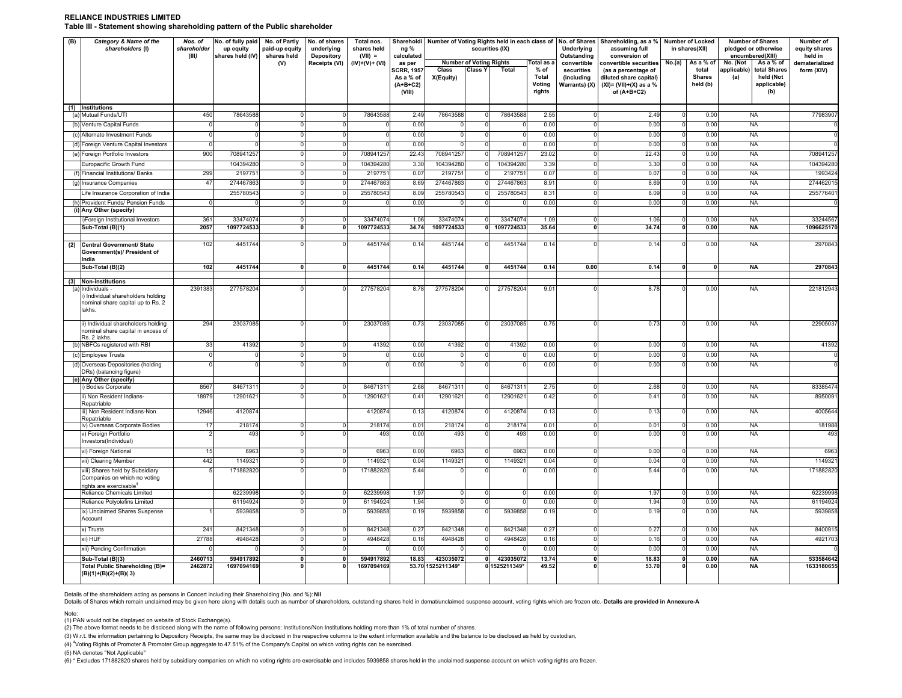#### **RELIANCE INDUSTRIES LIMITEDTable III - Statement showing shareholding pattern of the Public shareholder**

| (B) | Category & Name of the<br>shareholders (I)                                                             | Nos. of<br>shareholder<br>(III) | No. of fully paid<br>up equity<br>shares held (IV) | No. of Partly<br>paid-up equity<br>shares held | No. of shares<br>underlying<br><b>Depository</b> | Total nos.<br>shares held<br>$(VII) =$ | ng %<br>calculated                              | Shareholdi Number of Voting Rights held in each class of No. of Shares Shareholding, as a %<br>securities (IX) |                |                            | Underlying<br>Outstanding         |                                           | Number of Locked<br>in shares(XII)                                                          | <b>Number of Shares</b><br>pledged or otherwise<br>encumbered(XIII) | Number of<br>equity shares<br>held in |                                                                       |                         |
|-----|--------------------------------------------------------------------------------------------------------|---------------------------------|----------------------------------------------------|------------------------------------------------|--------------------------------------------------|----------------------------------------|-------------------------------------------------|----------------------------------------------------------------------------------------------------------------|----------------|----------------------------|-----------------------------------|-------------------------------------------|---------------------------------------------------------------------------------------------|---------------------------------------------------------------------|---------------------------------------|-----------------------------------------------------------------------|-------------------------|
|     |                                                                                                        |                                 |                                                    | (V)                                            | Receipts (VI)                                    | $(IV)+(V)+(V)$                         | <b>Number of Voting Rights</b><br>as per        |                                                                                                                |                | Total as a                 | convertible                       | convertible securities                    | No.(a)                                                                                      | As a % of                                                           | No. (Not<br>As a % of                 | dematerialized                                                        |                         |
|     |                                                                                                        |                                 |                                                    |                                                |                                                  |                                        | SCRR, 1957<br>As a % of<br>$(A+B+C2)$<br>(VIII) | Class<br>X(Equity)                                                                                             | <b>Class Y</b> | Total                      | % of<br>Total<br>Voting<br>rights | securities<br>(including<br>Warrants) (X) | (as a percentage of<br>diluted share capital)<br>$(XI) = (VII)+(X)$ as a %<br>of $(A+B+C2)$ |                                                                     | total<br><b>Shares</b><br>held (b)    | applicable)<br>total Shares<br>(a)<br>held (Not<br>applicable)<br>(b) | form (XIV)              |
|     | (1) Institutions<br>(a) Mutual Funds/UTI                                                               | 450                             | 78643588                                           |                                                |                                                  | 78643588                               | 2.49                                            | 78643588                                                                                                       |                | 78643588                   | 2.55                              | $\mathbf 0$                               | 2.49                                                                                        | $\Omega$                                                            | 0.00                                  | <b>NA</b>                                                             | 7798390                 |
|     | (b) Venture Capital Funds                                                                              | $\Omega$                        | $\Omega$                                           |                                                |                                                  |                                        | 0.00                                            | $\Omega$                                                                                                       |                | $\Omega$                   | 0.00                              | $\overline{0}$                            | 0.00                                                                                        |                                                                     | 0.00                                  | <b>NA</b>                                                             |                         |
|     | (c) Alternate Investment Funds                                                                         | $\Omega$                        | 0                                                  | n                                              |                                                  |                                        | 0.00                                            | $\Omega$                                                                                                       |                | $\Omega$                   | 0.00                              | $\Omega$                                  | 0.00                                                                                        |                                                                     | 0.00                                  | <b>NA</b>                                                             |                         |
|     | (d) Foreign Venture Capital Investors                                                                  |                                 | $\mathbf 0$                                        |                                                |                                                  |                                        | 0.00                                            |                                                                                                                |                |                            | 0.00                              | 0                                         | 0.00                                                                                        |                                                                     | 0.00                                  | <b>NA</b>                                                             |                         |
|     | (e) Foreign Portfolio Investors                                                                        | 900                             | 708941257                                          | <sup>n</sup>                                   | <sup>n</sup>                                     | 708941257                              | 22.43                                           | 708941257                                                                                                      |                | 708941257                  | 23.02                             | $\overline{0}$                            | 22.43                                                                                       | $\Omega$                                                            | 0.00                                  | <b>NA</b>                                                             | 708941257               |
|     | Europacific Growth Fund                                                                                |                                 | 104394280                                          | $\Omega$                                       | $\Omega$                                         | 104394280                              | 3.30                                            | 104394280                                                                                                      |                | 104394280                  | 3.39                              | $\mathbf 0$                               | 3.30                                                                                        | $\Omega$                                                            | 0.00                                  | <b>NA</b>                                                             | 104394280               |
|     | (f) Financial Institutions/ Banks                                                                      | 299                             | 2197751                                            | O                                              |                                                  | 2197751                                | 0.07                                            | 2197751                                                                                                        |                | 2197751                    | 0.07                              | $\overline{0}$                            | 0.07                                                                                        | $\Omega$                                                            | 0.00                                  | <b>NA</b>                                                             | 1993424                 |
|     | (g) Insurance Companies                                                                                | 47                              | 274467863                                          |                                                |                                                  | 274467863                              | 8.69                                            | 274467863                                                                                                      |                | 274467863                  | 8.91                              | $\overline{0}$                            | 8.69                                                                                        | $\Omega$                                                            | 0.00                                  | <b>NA</b>                                                             | 27446201                |
|     | Life Insurance Corporation of India                                                                    |                                 | 255780543                                          | $\overline{0}$                                 | $\Omega$                                         | 255780543                              | 8.09                                            | 255780543                                                                                                      |                | 255780543                  | 8.31                              | $\circ$                                   | 8.09                                                                                        | $\Omega$                                                            | 0.00                                  | <b>NA</b>                                                             | 25577640                |
|     | (h) Provident Funds/ Pension Funds                                                                     | $\Omega$                        |                                                    | $\Omega$                                       | $\Omega$                                         |                                        | 0.00                                            |                                                                                                                |                |                            | 0.00                              | $\circ$                                   | 0.00                                                                                        | $\Omega$                                                            | 0.00                                  | <b>NA</b>                                                             |                         |
|     | (i) Any Other (specify)                                                                                |                                 |                                                    |                                                |                                                  |                                        |                                                 |                                                                                                                |                |                            |                                   |                                           |                                                                                             |                                                                     |                                       |                                                                       |                         |
|     | i)Foreign Institutional Investors<br>Sub-Total (B)(1)                                                  | 361<br>2057                     | 33474074<br>1097724533                             | <sub>0</sub><br>$\overline{0}$                 | $\Omega$<br>0                                    | 33474074<br>1097724533                 | 1.06<br>34.74                                   | 33474074<br>1097724533                                                                                         |                | 33474074<br>1097724533     | 1.09<br>35.64                     | $\Omega$<br>$\overline{\mathbf{0}}$       | 1.06<br>34.74                                                                               | $\Omega$<br>0                                                       | 0.00<br>0.00                          | <b>NA</b><br><b>NA</b>                                                | 33244567<br>1096625170  |
|     |                                                                                                        |                                 |                                                    |                                                |                                                  |                                        |                                                 |                                                                                                                |                |                            |                                   |                                           |                                                                                             |                                                                     |                                       |                                                                       |                         |
| (2) | Central Government/ State<br>Government(s)/ President of<br>India                                      | 102                             | 4451744                                            |                                                | $\Omega$                                         | 4451744                                | 0.14                                            | 4451744                                                                                                        |                | 4451744                    | 0.14                              |                                           | 0.14                                                                                        |                                                                     | 0.00                                  | <b>NA</b>                                                             | 2970843                 |
|     | Sub-Total (B)(2)                                                                                       | 102                             | 4451744                                            | 0                                              | $\mathbf{0}$                                     | 4451744                                | 0.14                                            | 4451744                                                                                                        |                | 4451744                    | 0.14                              | 0.00                                      | 0.14                                                                                        | 0                                                                   | 0                                     | NA                                                                    | 2970843                 |
|     | (3) Non-institutions                                                                                   |                                 |                                                    |                                                |                                                  |                                        |                                                 |                                                                                                                |                |                            |                                   |                                           |                                                                                             |                                                                     |                                       |                                                                       |                         |
|     | (a) Individuals -<br>) Individual shareholders holding<br>nominal share capital up to Rs. 2<br>lakhs.  | 2391383                         | 277578204                                          |                                                |                                                  | 277578204                              | 8.78                                            | 277578204                                                                                                      | $\Omega$       | 277578204                  | 9.01                              | $\Omega$                                  | 8.78                                                                                        | $\Omega$                                                            | 0.00                                  | <b>NA</b>                                                             | 22181294                |
|     | ii) Individual shareholders holding<br>nominal share capital in excess of<br>Rs. 2 lakhs.              | 294                             | 23037085                                           |                                                |                                                  | 23037085                               | 0.73                                            | 23037085                                                                                                       |                | 23037085                   | 0.75                              | $\Omega$                                  | 0.73                                                                                        | $\Omega$                                                            | 0.00                                  | <b>NA</b>                                                             | 2290503                 |
|     | (b) NBFCs registered with RBI                                                                          | 33                              | 41392                                              | $\Omega$                                       | $\Omega$                                         | 41392                                  | 0.00                                            | 41392                                                                                                          |                | 41392                      | 0.00                              | $\circ$                                   | 0.00                                                                                        | $\Omega$                                                            | 0.00                                  | <b>NA</b>                                                             | 41392                   |
|     | (c) Employee Trusts                                                                                    | $\Omega$                        | $\Omega$                                           | O                                              | $\Omega$                                         |                                        | 0.00                                            | $\Omega$                                                                                                       |                | $\Omega$                   | 0.00                              | $\Omega$                                  | 0.00                                                                                        | $\Omega$                                                            | 0.00                                  | <b>NA</b>                                                             |                         |
|     | (d) Overseas Depositories (holding<br>DRs) (balancing figure)<br>(e) Any Other (specify)               |                                 | $\Omega$                                           |                                                |                                                  |                                        | 0.00                                            | $\Omega$                                                                                                       |                | $\Omega$                   | 0.00                              |                                           | 0.00                                                                                        |                                                                     | 0.00                                  | <b>NA</b>                                                             |                         |
|     | i) Bodies Corporate                                                                                    | 8567                            | 84671311                                           | <sup>n</sup>                                   | $\Omega$                                         | 84671311                               | 2.68                                            | 8467131                                                                                                        |                | 8467131                    | 2.75                              | $\Omega$                                  | 2.68                                                                                        | $\Omega$                                                            | 0.00                                  | <b>NA</b>                                                             | 83385474                |
|     | i) Non Resident Indians-                                                                               | 18979                           | 12901621                                           |                                                |                                                  | 12901621                               | 0.41                                            | 12901621                                                                                                       |                | 12901621                   | 0.42                              | $\Omega$                                  | 0.41                                                                                        |                                                                     | 0.00                                  | <b>NA</b>                                                             | 895009                  |
|     | Repatriable<br>iii) Non Resident Indians-Non<br>Repatriable                                            | 12946                           | 4120874                                            |                                                |                                                  | 4120874                                | 0.13                                            | 4120874                                                                                                        |                | 4120874                    | 0.13                              | $\overline{0}$                            | 0.13                                                                                        |                                                                     | 0.00                                  | <b>NA</b>                                                             | 4005644                 |
|     | iv) Overseas Corporate Bodies                                                                          | 17                              | 218174                                             | <sup>0</sup>                                   | $\Omega$                                         | 218174                                 | 0.01                                            | 218174                                                                                                         |                | 218174                     | 0.01                              | $\overline{0}$                            | 0.01                                                                                        | $\Omega$                                                            | 0.00                                  | <b>NA</b>                                                             | 181988                  |
|     | v) Foreign Portfolio<br>Investors(Individual)                                                          |                                 | 493                                                |                                                |                                                  | 493                                    | 0.00                                            | 493                                                                                                            |                | 493                        | 0.00                              |                                           | 0.00                                                                                        |                                                                     | 0.00                                  | <b>NA</b>                                                             | 493                     |
|     | vi) Foreign National                                                                                   | 15                              | 6963                                               | $\Omega$                                       | $\Omega$                                         | 6963                                   | 0.00                                            | 6963                                                                                                           |                | 6963                       | 0.00                              | $\overline{0}$                            | 0.00                                                                                        | n                                                                   | 0.00                                  | <b>NA</b>                                                             | 6963                    |
|     | vii) Clearing Member                                                                                   | 442                             | 1149321                                            | $\Omega$                                       | $\Omega$                                         | 1149321                                | 0.04                                            | 1149321                                                                                                        |                | 1149321                    | 0.04                              | $\mathbf 0$                               | 0.04                                                                                        | $\Omega$                                                            | 0.00                                  | <b>NA</b>                                                             | 114932                  |
|     | viii) Shares held by Subsidiary<br>Companies on which no voting<br>rights are exercisable <sup>4</sup> |                                 | 171882820                                          |                                                |                                                  | 171882820                              | 5.44                                            |                                                                                                                |                |                            | 0.00                              |                                           | 5.44                                                                                        |                                                                     | 0.00                                  | <b>NA</b>                                                             | 171882820               |
|     | Reliance Chemicals Limited                                                                             |                                 | 62239998                                           | $\Omega$                                       | $\Omega$                                         | 62239998                               | 1.97                                            | $^{\circ}$                                                                                                     |                | $\overline{0}$             | 0.00                              | $\mathbf 0$                               | 1.97                                                                                        |                                                                     | 0.00                                  | <b>NA</b>                                                             | 62239998                |
|     | Reliance Polyolefins Limited                                                                           |                                 | 61194924                                           | $\Omega$                                       | $\Omega$                                         | 61194924                               | 1.94                                            | $\Omega$                                                                                                       |                | $\Omega$                   | 0.00                              | $\overline{0}$                            | 1.94                                                                                        | $\Omega$                                                            | 0.00                                  | <b>NA</b>                                                             | 61194924                |
|     | ix) Unclaimed Shares Suspense<br>Account                                                               |                                 | 5939858                                            | O                                              | $\Omega$                                         | 5939858                                | 0.19                                            | 5939858                                                                                                        |                | 5939858                    | 0.19                              | $\Omega$                                  | 0.19                                                                                        |                                                                     | 0.00                                  | <b>NA</b>                                                             | 5939858                 |
|     | x) Trusts                                                                                              | 241                             | 8421348                                            | $\Omega$                                       | $\Omega$                                         | 8421348                                | 0.27                                            | 8421348                                                                                                        |                | 8421348                    | 0.27                              | $\mathbf 0$                               | 0.27                                                                                        | $\Omega$                                                            | 0.00                                  | <b>NA</b>                                                             | 840091                  |
|     | xi) HUF                                                                                                | 27788                           | 4948428                                            | $\Omega$                                       | $\Omega$                                         | 4948428                                | 0.16                                            | 4948428                                                                                                        |                | 4948428                    | 0.16                              | $\circ$                                   | 0.16                                                                                        |                                                                     | 0.00                                  | <b>NA</b>                                                             | 4921703                 |
|     | xii) Pending Confirmation                                                                              |                                 |                                                    | $\Omega$                                       | $\Omega$                                         |                                        | 0.00                                            |                                                                                                                |                |                            | 0.00                              | $\Omega$                                  | 0.00                                                                                        |                                                                     | 0.00                                  | <b>NA</b>                                                             |                         |
|     | Sub-Total (B)(3)<br>Total Public Shareholding (B)=                                                     | 2460713<br>2462872              | 594917892<br>1697094169                            | 0<br>n                                         | $\mathbf{0}$                                     | 594917892<br>1697094169                | 18.83                                           | 423035072<br>53.70 1525211349*                                                                                 | $\mathbf{0}$   | 423035072<br>0 1525211349* | 13.74<br>49.52                    | $\mathbf{0}$                              | 18.83<br>53.70                                                                              | $\mathbf{0}$                                                        | 0.00<br>0.00                          | <b>NA</b><br><b>NA</b>                                                | 533584642<br>1633180655 |
|     | (B)(1)+(B)(2)+(B)(3)                                                                                   |                                 |                                                    |                                                |                                                  |                                        |                                                 |                                                                                                                |                |                            |                                   |                                           |                                                                                             |                                                                     |                                       |                                                                       |                         |

Details of the shareholders acting as persons in Concert including their Shareholding (No. and %): **Nil**

Details of Shares which remain unclaimed may be given here along with details such as number of shareholders, outstanding shares held in demat/unclaimed suspense account, voting rights which are frozen etc.-Details are pro

Note:

(1) PAN would not be displayed on website of Stock Exchange(s).

(2) The above format needs to be disclosed along with the name of following persons: Institutions/Non Institutions holding more than 1% of total number of shares.

(3) W.r.t. the information pertaining to Depository Receipts, the same may be disclosed in the respective columns to the extent information available and the balance to be disclosed as held by custodian,

(4) <sup>4</sup>Voting Rights of Promoter & Promoter Group aggregate to 47.51% of the Company's Capital on which voting rights can be exercised.

(5) NA denotes "Not Applicable"

(6) \* Excludes 171882820 shares held by subsidiary companies on which no voting rights are exercisable and includes 5939858 shares held in the unclaimed suspense account on which voting rights are frozen.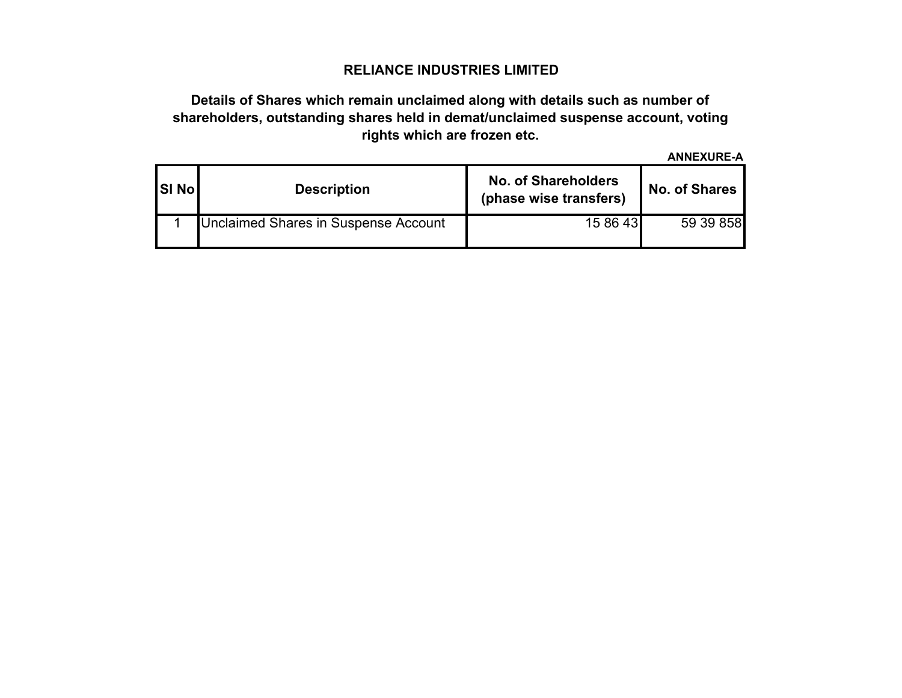## **RELIANCE INDUSTRIES LIMITED**

# **Details of Shares which remain unclaimed along with details such as number of shareholders, outstanding shares held in demat/unclaimed suspense account, voting rights which are frozen etc.**

**ANNEXURE-A**

| <b>SI No</b> | <b>Description</b>                   | <b>No. of Shareholders</b><br>(phase wise transfers) | <b>No. of Shares</b> |  |  |  |  |
|--------------|--------------------------------------|------------------------------------------------------|----------------------|--|--|--|--|
|              | Unclaimed Shares in Suspense Account | 15 86 43                                             | 59 39 858            |  |  |  |  |